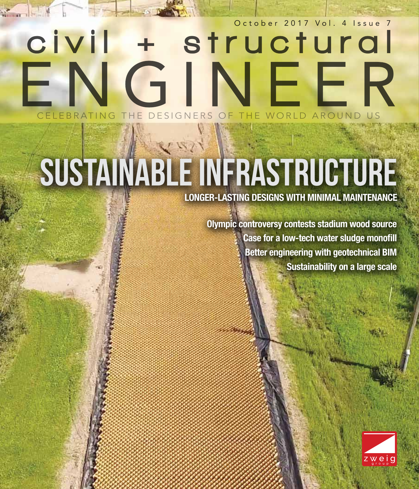## October 2017 Vol. 4 Issue 7 civil  $+$ structural FNGINFFR EBRATING THE DESIGNERS OF THE WORLD AROUND

# SUSTAINABLE INFRASTRUCTURE

**LONGER-LASTING DESIGNS WITH MINIMAL MAINTENANCE**

**Olympic controversy contests stadium wood source Case for a low-tech water sludge monofill Better engineering with geotechnical BIM Sustainability on a large scale**

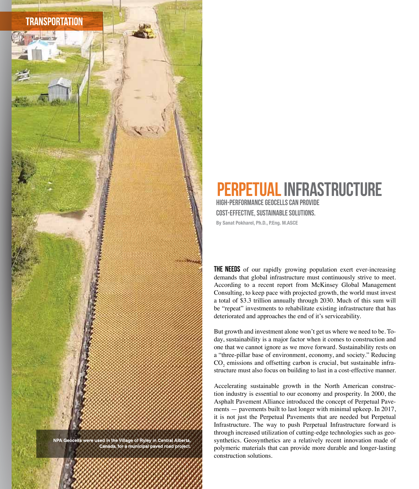

NPA Geocells were used in the Village of Ryley in Central Alberta,<br>Canada, for a municipal paved road project.

48 csengineermag.com october 2017

### **ERPETUAL INFRASTRUCTURE** High-performance geocells can provide cost-effective, sustainable solutions.

**By Sanat Pokharel, Ph.D., P.Eng. M.ASCE**

**THE NEEDS** of our rapidly growing population exert ever-increasing demands that global infrastructure must continuously strive to meet. According to a recent report from McKinsey Global Management Consulting, to keep pace with projected growth, the world must invest a total of \$3.3 trillion annually through 2030. Much of this sum will be "repeat" investments to rehabilitate existing infrastructure that has deteriorated and approaches the end of it's serviceability.

But growth and investment alone won't get us where we need to be. Today, sustainability is a major factor when it comes to construction and one that we cannot ignore as we move forward. Sustainability rests on a "three-pillar base of environment, economy, and society." Reducing  $\text{CO}_2$  emissions and offsetting carbon is crucial, but sustainable infrastructure must also focus on building to last in a cost-effective manner.

Accelerating sustainable growth in the North American construction industry is essential to our economy and prosperity. In 2000, the Asphalt Pavement Alliance introduced the concept of Perpetual Pavements — pavements built to last longer with minimal upkeep. In 2017, it is not just the Perpetual Pavements that are needed but Perpetual Infrastructure. The way to push Perpetual Infrastructure forward is through increased utilization of cutting-edge technologies such as geosynthetics. Geosynthetics are a relatively recent innovation made of polymeric materials that can provide more durable and longer-lasting construction solutions.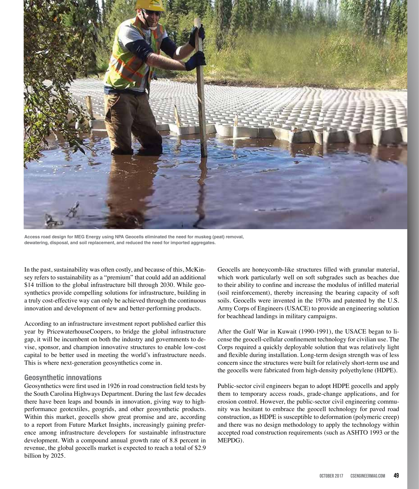

**Access road design for MEG Energy using NPA Geocells eliminated the need for muskeg (peat) removal, dewatering, disposal, and soil replacement, and reduced the need for imported aggregates.**

In the past, sustainability was often costly, and because of this, McKinsey refers to sustainability as a "premium" that could add an additional \$14 trillion to the global infrastructure bill through 2030. While geosynthetics provide compelling solutions for infrastructure, building in a truly cost-effective way can only be achieved through the continuous innovation and development of new and better-performing products.

According to an infrastructure investment report published earlier this year by PricewaterhouseCoopers, to bridge the global infrastructure gap, it will be incumbent on both the industry and governments to devise, sponsor, and champion innovative structures to enable low-cost capital to be better used in meeting the world's infrastructure needs. This is where next-generation geosynthetics come in.

#### **Geosynthetic innovations**

Geosynthetics were first used in 1926 in road construction field tests by the South Carolina Highways Department. During the last few decades there have been leaps and bounds in innovation, giving way to highperformance geotextiles, geogrids, and other geosynthetic products. Within this market, geocells show great promise and are, according to a report from Future Market Insights, increasingly gaining preference among infrastructure developers for sustainable infrastructure development. With a compound annual growth rate of 8.8 percent in revenue, the global geocells market is expected to reach a total of \$2.9 billion by 2025.

Geocells are honeycomb-like structures filled with granular material, which work particularly well on soft subgrades such as beaches due to their ability to confine and increase the modulus of infilled material (soil reinforcement), thereby increasing the bearing capacity of soft soils. Geocells were invented in the 1970s and patented by the U.S. Army Corps of Engineers (USACE) to provide an engineering solution for beachhead landings in military campaigns.

After the Gulf War in Kuwait (1990-1991), the USACE began to license the geocell-cellular confinement technology for civilian use. The Corps required a quickly deployable solution that was relatively light and flexible during installation. Long-term design strength was of less concern since the structures were built for relatively short-term use and the geocells were fabricated from high-density polyethylene (HDPE).

Public-sector civil engineers began to adopt HDPE geocells and apply them to temporary access roads, grade-change applications, and for erosion control. However, the public-sector civil engineering community was hesitant to embrace the geocell technology for paved road construction, as HDPE is susceptible to deformation (polymeric creep) and there was no design methodology to apply the technology within accepted road construction requirements (such as ASHTO 1993 or the MEPDG).